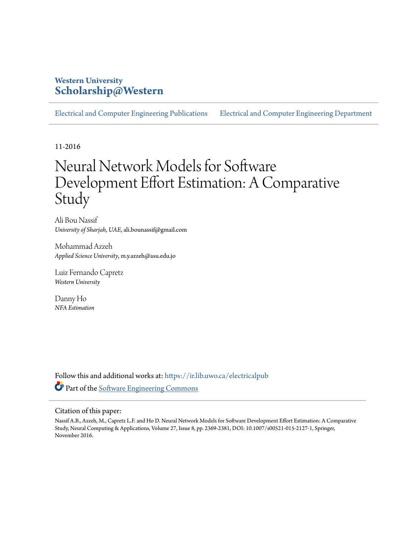## **Western University [Scholarship@Western](https://ir.lib.uwo.ca?utm_source=ir.lib.uwo.ca%2Felectricalpub%2F102&utm_medium=PDF&utm_campaign=PDFCoverPages)**

[Electrical and Computer Engineering Publications](https://ir.lib.uwo.ca/electricalpub?utm_source=ir.lib.uwo.ca%2Felectricalpub%2F102&utm_medium=PDF&utm_campaign=PDFCoverPages) [Electrical and Computer Engineering Department](https://ir.lib.uwo.ca/electrical?utm_source=ir.lib.uwo.ca%2Felectricalpub%2F102&utm_medium=PDF&utm_campaign=PDFCoverPages)

11-2016

# Neural Network Models for Software Development Effort Estimation: A Comparative Study

Ali Bou Nassif *University of Sharjah, UAE*, ali.bounassif@gmail.com

Mohammad Azzeh *Applied Science University*, m.y.azzeh@asu.edu.jo

Luiz Fernando Capretz *Western University*

Danny Ho *NFA Estimation*

Follow this and additional works at: [https://ir.lib.uwo.ca/electricalpub](https://ir.lib.uwo.ca/electricalpub?utm_source=ir.lib.uwo.ca%2Felectricalpub%2F102&utm_medium=PDF&utm_campaign=PDFCoverPages) Part of the [Software Engineering Commons](http://network.bepress.com/hgg/discipline/150?utm_source=ir.lib.uwo.ca%2Felectricalpub%2F102&utm_medium=PDF&utm_campaign=PDFCoverPages)

#### Citation of this paper:

Nassif A.B., Azzeh, M., Capretz L.F. and Ho D. Neural Network Models for Software Development Effort Estimation: A Comparative Study, Neural Computing & Applications, Volume 27, Issue 8, pp. 2369-2381, DOI: 10.1007/s00521-015-2127-1, Springer, November 2016.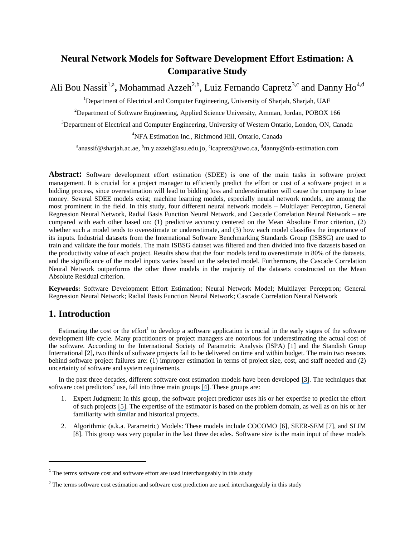# **Neural Network Models for Software Development Effort Estimation: A Comparative Study**

Ali Bou Nassif<sup>1,a</sup>, Mohammad Azzeh<sup>2,b</sup>, Luiz Fernando Capretz<sup>3,c</sup> and Danny Ho<sup>4,d</sup>

<sup>1</sup>Department of Electrical and Computer Engineering, University of Sharjah, Sharjah, UAE

<sup>2</sup>Department of Software Engineering, Applied Science University, Amman, Jordan, POBOX 166

<sup>3</sup>Department of Electrical and Computer Engineering, University of Western Ontario, London, ON, Canada

#### <sup>4</sup>NFA Estimation Inc., Richmond Hill, Ontario, Canada

<sup>a</sup>anassif@sharjah.ac.ae, <sup>b</sup>m.y.azzeh@asu.edu.jo, <sup>c</sup>lcapretz@uwo.ca, <sup>d</sup>danny@nfa-estimation.com

**Abstract:** Software development effort estimation (SDEE) is one of the main tasks in software project management. It is crucial for a project manager to efficiently predict the effort or cost of a software project in a bidding process, since overestimation will lead to bidding loss and underestimation will cause the company to lose money. Several SDEE models exist; machine learning models, especially neural network models, are among the most prominent in the field. In this study, four different neural network models – Multilayer Perceptron, General Regression Neural Network, Radial Basis Function Neural Network, and Cascade Correlation Neural Network – are compared with each other based on: (1) predictive accuracy centered on the Mean Absolute Error criterion, (2) whether such a model tends to overestimate or underestimate, and (3) how each model classifies the importance of its inputs. Industrial datasets from the International Software Benchmarking Standards Group (ISBSG) are used to train and validate the four models. The main ISBSG dataset was filtered and then divided into five datasets based on the productivity value of each project. Results show that the four models tend to overestimate in 80% of the datasets, and the significance of the model inputs varies based on the selected model. Furthermore, the Cascade Correlation Neural Network outperforms the other three models in the majority of the datasets constructed on the Mean Absolute Residual criterion.

**Keywords:** Software Development Effort Estimation; Neural Network Model; Multilayer Perceptron; General Regression Neural Network; Radial Basis Function Neural Network; Cascade Correlation Neural Network

## **1. Introduction**

 $\overline{a}$ 

Estimating the cost or the effort<sup>1</sup> to develop a software application is crucial in the early stages of the software development life cycle. Many practitioners or project managers are notorious for underestimating the actual cost of the software. According to the International Society of Parametric Analysis (ISPA) [1] and the Standish Group International [2]**,** two thirds of software projects fail to be delivered on time and within budget. The main two reasons behind software project failures are: (1) improper estimation in terms of project size, cost, and staff needed and (2) uncertainty of software and system requirements.

In the past three decades, different software cost estimation models have been developed [\[3\]](https://www.researchgate.net/publication/3189714_A_Systematic_Review_Of_Software_Development_Cost_Estimation_Studies?el=1_x_8&enrichId=rgreq-121515e73c0c79a875db36938266e4ff-XXX&enrichSource=Y292ZXJQYWdlOzI4NDI0MzIyMDtBUzoyOTg1NjAxMzU0MTc4NjdAMTQ0ODE5MzY5MTc3OA==). The techniques that software cost predictors<sup>2</sup> use, fall into three main groups [\[4\]](https://www.researchgate.net/publication/221024116_A_comparison_of_case-based_reasoning_approaches?el=1_x_8&enrichId=rgreq-121515e73c0c79a875db36938266e4ff-XXX&enrichSource=Y292ZXJQYWdlOzI4NDI0MzIyMDtBUzoyOTg1NjAxMzU0MTc4NjdAMTQ0ODE5MzY5MTc3OA==). These groups are:

- 1. Expert Judgment: In this group, the software project predictor uses his or her expertise to predict the effort of such projects [\[5\]](https://www.researchgate.net/publication/222516376_Forecasting_of_software_development_work_effort_Evidence_on_expert_judgement_and_formal_models?el=1_x_8&enrichId=rgreq-121515e73c0c79a875db36938266e4ff-XXX&enrichSource=Y292ZXJQYWdlOzI4NDI0MzIyMDtBUzoyOTg1NjAxMzU0MTc4NjdAMTQ0ODE5MzY5MTc3OA==). The expertise of the estimator is based on the problem domain, as well as on his or her familiarity with similar and historical projects.
- 2. Algorithmic (a.k.a. Parametric) Models: These models include COCOMO [\[6\]](https://www.researchgate.net/publication/284543783_Software_Engineering_Economics?el=1_x_8&enrichId=rgreq-121515e73c0c79a875db36938266e4ff-XXX&enrichSource=Y292ZXJQYWdlOzI4NDI0MzIyMDtBUzoyOTg1NjAxMzU0MTc4NjdAMTQ0ODE5MzY5MTc3OA==), SEER-SEM [7], and SLIM [8]. This group was very popular in the last three decades. Software size is the main input of these models

 $1$  The terms software cost and software effort are used interchangeably in this study

<sup>&</sup>lt;sup>2</sup> The terms software cost estimation and software cost prediction are used interchangeably in this study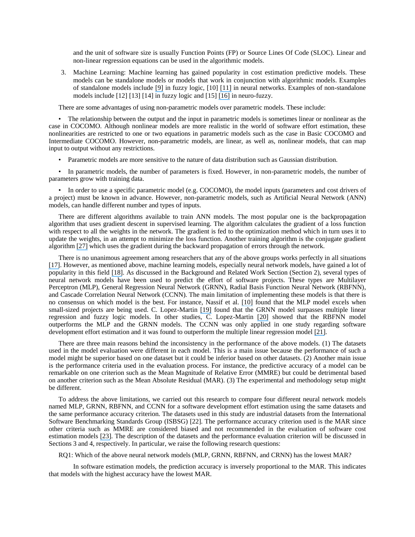and the unit of software size is usually Function Points (FP) or Source Lines Of Code (SLOC). Linear and non-linear regression equations can be used in the algorithmic models.

3. Machine Learning: Machine learning has gained popularity in cost estimation predictive models. These models can be standalone models or models that work in conjunction with algorithmic models. Examples of standalone models include [\[9\]](https://www.researchgate.net/publication/220199190_A_fuzzy_logic_model_for_predicting_the_development_effort_of_short_scale_programs_based_upon_two_independent_variables?el=1_x_8&enrichId=rgreq-121515e73c0c79a875db36938266e4ff-XXX&enrichSource=Y292ZXJQYWdlOzI4NDI0MzIyMDtBUzoyOTg1NjAxMzU0MTc4NjdAMTQ0ODE5MzY5MTc3OA==) in fuzzy logic, [10] [\[11\]](https://www.researchgate.net/publication/234117276_Estimating_Software_Effort_Using_an_ANN_Model_Based_on_Use_Case_Points?el=1_x_8&enrichId=rgreq-121515e73c0c79a875db36938266e4ff-XXX&enrichSource=Y292ZXJQYWdlOzI4NDI0MzIyMDtBUzoyOTg1NjAxMzU0MTc4NjdAMTQ0ODE5MzY5MTc3OA==) in neural networks. Examples of non-standalone models include [12] [13] [14] in fuzzy logic and [15] [\[16\]](https://www.researchgate.net/publication/259759853_A_Hybrid_Intelligent_Model_for_Software_Cost_Estimation?el=1_x_8&enrichId=rgreq-121515e73c0c79a875db36938266e4ff-XXX&enrichSource=Y292ZXJQYWdlOzI4NDI0MzIyMDtBUzoyOTg1NjAxMzU0MTc4NjdAMTQ0ODE5MzY5MTc3OA==) in neuro-fuzzy.

There are some advantages of using non-parametric models over parametric models. These include:

• The relationship between the output and the input in parametric models is sometimes linear or nonlinear as the case in COCOMO. Although nonlinear models are more realistic in the world of software effort estimation, these nonlinearities are restricted to one or two equations in parametric models such as the case in Basic COCOMO and Intermediate COCOMO. However, non-parametric models, are linear, as well as, nonlinear models, that can map input to output without any restrictions.

• Parametric models are more sensitive to the nature of data distribution such as Gaussian distribution.

• In parametric models, the number of parameters is fixed. However, in non-parametric models, the number of parameters grow with training data.

• In order to use a specific parametric model (e.g. COCOMO), the model inputs (parameters and cost drivers of a project) must be known in advance. However, non-parametric models, such as Artificial Neural Network (ANN) models, can handle different number and types of inputs.

There are different algorithms available to train ANN models. The most popular one is the backpropagation algorithm that uses gradient descent in supervised learning. The algorithm calculates the gradient of a loss function with respect to all the weights in the network. The gradient is fed to the optimization method which in turn uses it to update the weights, in an attempt to minimize the loss function. Another training algorithm is the conjugate gradient algorithm [\[27\]](https://www.researchgate.net/publication/222482794_Moller_MF_A_Scaled_Conjugate_Gradient_Algorithm_For_Fast_Supervised_Learning_Neural_Networks_6_525-533?el=1_x_8&enrichId=rgreq-121515e73c0c79a875db36938266e4ff-XXX&enrichSource=Y292ZXJQYWdlOzI4NDI0MzIyMDtBUzoyOTg1NjAxMzU0MTc4NjdAMTQ0ODE5MzY5MTc3OA==) which uses the gradient during the backward propagation of errors through the network.

There is no unanimous agreement among researchers that any of the above groups works perfectly in all situations [\[17\]](https://www.researchgate.net/publication/220300696_Software_development_cost_estimation_approaches_-_A_survey?el=1_x_8&enrichId=rgreq-121515e73c0c79a875db36938266e4ff-XXX&enrichSource=Y292ZXJQYWdlOzI4NDI0MzIyMDtBUzoyOTg1NjAxMzU0MTc4NjdAMTQ0ODE5MzY5MTc3OA==). However, as mentioned above, machine learning models, especially neural network models, have gained a lot of popularity in this field [\[18\]](https://www.researchgate.net/publication/220609785_Systematic_literature_review_of_machine_learning_based_software_development_effort_estimation_models?el=1_x_8&enrichId=rgreq-121515e73c0c79a875db36938266e4ff-XXX&enrichSource=Y292ZXJQYWdlOzI4NDI0MzIyMDtBUzoyOTg1NjAxMzU0MTc4NjdAMTQ0ODE5MzY5MTc3OA==). As discussed in the Background and Related Work Section (Section 2), several types of neural network models have been used to predict the effort of software projects. These types are Multilayer Perceptron (MLP), General Regression Neural Network (GRNN), Radial Basis Function Neural Network (RBFNN), and Cascade Correlation Neural Network (CCNN). The main limitation of implementing these models is that there is no consensus on which model is the best. For instance, Nassif et al. [\[10\]](https://www.researchgate.net/publication/233823984_Towards_an_early_software_estimation_using_log-linear_regression_and_a_multilayer_perceptron_model?el=1_x_8&enrichId=rgreq-121515e73c0c79a875db36938266e4ff-XXX&enrichSource=Y292ZXJQYWdlOzI4NDI0MzIyMDtBUzoyOTg1NjAxMzU0MTc4NjdAMTQ0ODE5MzY5MTc3OA==) found that the MLP model excels when small-sized projects are being used. C. Lopez-Martin [\[19\]](https://www.researchgate.net/publication/220372156_Applying_a_general_regression_neural_network_for_predicting_development_effort_of_short-scale_programs?el=1_x_8&enrichId=rgreq-121515e73c0c79a875db36938266e4ff-XXX&enrichSource=Y292ZXJQYWdlOzI4NDI0MzIyMDtBUzoyOTg1NjAxMzU0MTc4NjdAMTQ0ODE5MzY5MTc3OA==) found that the GRNN model surpasses multiple linear regression and fuzzy logic models. In other studies, C. Lopez-Martin [\[20\]](https://www.researchgate.net/publication/277576988_Predictive_accuracy_comparison_between_neural_networks_and_statistical_regression_for_development_effort_of_software_projects?el=1_x_8&enrichId=rgreq-121515e73c0c79a875db36938266e4ff-XXX&enrichSource=Y292ZXJQYWdlOzI4NDI0MzIyMDtBUzoyOTg1NjAxMzU0MTc4NjdAMTQ0ODE5MzY5MTc3OA==) showed that the RBFNN model outperforms the MLP and the GRNN models. The CCNN was only applied in one study regarding software development effort estimation and it was found to outperform the multiple linear regression model [\[21\]](https://www.researchgate.net/publication/233824016_Software_Effort_Estimation_in_the_Early_Stages_of_the_Software_Life_Cycle_Using_a_Cascade_Correlation_Neural_Network_Model?el=1_x_8&enrichId=rgreq-121515e73c0c79a875db36938266e4ff-XXX&enrichSource=Y292ZXJQYWdlOzI4NDI0MzIyMDtBUzoyOTg1NjAxMzU0MTc4NjdAMTQ0ODE5MzY5MTc3OA==).

There are three main reasons behind the inconsistency in the performance of the above models. (1) The datasets used in the model evaluation were different in each model. This is a main issue because the performance of such a model might be superior based on one dataset but it could be inferior based on other datasets. (2) Another main issue is the performance criteria used in the evaluation process. For instance, the predictive accuracy of a model can be remarkable on one criterion such as the Mean Magnitude of Relative Error (MMRE) but could be detrimental based on another criterion such as the Mean Absolute Residual (MAR). (3) The experimental and methodology setup might be different.

To address the above limitations, we carried out this research to compare four different neural network models named MLP, GRNN, RBFNN, and CCNN for a software development effort estimation using the same datasets and the same performance accuracy criterion. The datasets used in this study are industrial datasets from the International Software Benchmarking Standards Group (ISBSG) [22]. The performance accuracy criterion used is the MAR since other criteria such as MMRE are considered biased and not recommended in the evaluation of software cost estimation models [\[23\]](https://www.researchgate.net/publication/235948194_Evaluating_prediction_systems_in_software_project_estimation?el=1_x_8&enrichId=rgreq-121515e73c0c79a875db36938266e4ff-XXX&enrichSource=Y292ZXJQYWdlOzI4NDI0MzIyMDtBUzoyOTg1NjAxMzU0MTc4NjdAMTQ0ODE5MzY5MTc3OA==). The description of the datasets and the performance evaluation criterion will be discussed in Sections 3 and 4, respectively. In particular, we raise the following research questions:

RQ1: Which of the above neural network models (MLP, GRNN, RBFNN, and CRNN) has the lowest MAR?

In software estimation models, the prediction accuracy is inversely proportional to the MAR. This indicates that models with the highest accuracy have the lowest MAR.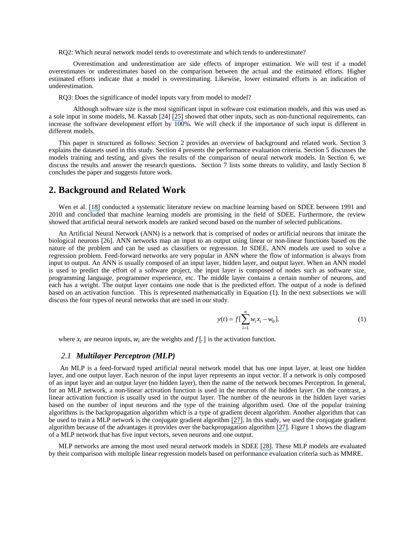RQ2: Which neural network model tends to overestimate and which tends to underestimate?

Overestimation and underestimation are side effects of improper estimation. We will test if a model overestimates or underestimates based on the comparison between the actual and the estimated efforts. Higher estimated efforts indicate that a model is overestimating. Likewise, lower estimated efforts is an indication of underestimation.

RQ3: Does the significance of model inputs vary from model to model?

Although software size is the most significant input in software cost estimation models, and this was used as a sole input in some models, M. Kassab [24] [\[25\]](https://www.researchgate.net/publication/221236387_Non-Functional_Requirements_Size_Measurement_Method_NFSM_with_COSMIC-FFP?el=1_x_8&enrichId=rgreq-121515e73c0c79a875db36938266e4ff-XXX&enrichSource=Y292ZXJQYWdlOzI4NDI0MzIyMDtBUzoyOTg1NjAxMzU0MTc4NjdAMTQ0ODE5MzY5MTc3OA==) showed that other inputs, such as non-functional requirements, can increase the software development effort by 100%. We will check if the importance of such input is different in different models.

This paper is structured as follows: Section 2 provides an overview of background and related work. Section 3 explains the datasets used in this study. Section 4 presents the performance evaluation criteria. Section 5 discusses the models training and testing, and gives the results of the comparison of neural network models. In Section 6, we discuss the results and answer the research questions. Section 7 lists some threats to validity, and lastly Section 8 concludes the paper and suggests future work.

## **2. Background and Related Work**

Wen et al. [\[18\]](https://www.researchgate.net/publication/220609785_Systematic_literature_review_of_machine_learning_based_software_development_effort_estimation_models?el=1_x_8&enrichId=rgreq-121515e73c0c79a875db36938266e4ff-XXX&enrichSource=Y292ZXJQYWdlOzI4NDI0MzIyMDtBUzoyOTg1NjAxMzU0MTc4NjdAMTQ0ODE5MzY5MTc3OA==) conducted a systematic literature review on machine learning based on SDEE between 1991 and 2010 and concluded that machine learning models are promising in the field of SDEE. Furthermore, the review showed that artificial neural network models are ranked second based on the number of selected publications.

An Artificial Neural Network (ANN) is a network that is comprised of nodes or artificial neurons that imitate the biological neurons [26]. ANN networks map an input to an output using linear or non-linear functions based on the nature of the problem and can be used as classifiers or regression. In SDEE, ANN models are used to solve a regression problem. Feed-forward networks are very popular in ANN where the flow of information is always from input to output. An ANN is usually composed of an input layer, hidden layer, and output layer. When an ANN model is used to predict the effort of a software project, the input layer is composed of nodes such as software size, programming language, programmer experience, etc. The middle layer contains a certain number of neurons, and each has a weight. The output layer contains one node that is the predicted effort. The output of a node is defined based on an activation function. This is represented mathematically in Equation (1). In the next subsections we will discuss the four types of neural networks that are used in our study.

$$
y(t) = f\left[\sum_{i=1}^{n} w_i x_i - w_0\right].
$$
 (1)

where  $x_i$  are neuron inputs,  $w_i$  are the weights and  $f$ [.] is the activation function.

#### *2.1 Multilayer Perceptron (MLP)*

An MLP is a feed-forward typed artificial neural network model that has one input layer, at least one hidden layer, and one output layer. Each neuron of the input layer represents an input vector. If a network is only composed of an input layer and an output layer (no hidden layer), then the name of the network becomes Perceptron. In general, for an MLP network, a non-linear activation function is used in the neurons of the hidden layer. On the contrast, a linear activation function is usually used in the output layer. The number of the neurons in the hidden layer varies based on the number of input neurons and the type of the training algorithm used. One of the popular training algorithms is the backpropagation algorithm which is a type of gradient decent algorithm. Another algorithm that can be used to train a MLP network is the conjugate gradient algorithm [\[27\]](https://www.researchgate.net/publication/222482794_Moller_MF_A_Scaled_Conjugate_Gradient_Algorithm_For_Fast_Supervised_Learning_Neural_Networks_6_525-533?el=1_x_8&enrichId=rgreq-121515e73c0c79a875db36938266e4ff-XXX&enrichSource=Y292ZXJQYWdlOzI4NDI0MzIyMDtBUzoyOTg1NjAxMzU0MTc4NjdAMTQ0ODE5MzY5MTc3OA==). In this study, we used the conjugate gradient algorithm because of the advantages it provides over the backpropagation algorithm [\[27\]](https://www.researchgate.net/publication/222482794_Moller_MF_A_Scaled_Conjugate_Gradient_Algorithm_For_Fast_Supervised_Learning_Neural_Networks_6_525-533?el=1_x_8&enrichId=rgreq-121515e73c0c79a875db36938266e4ff-XXX&enrichSource=Y292ZXJQYWdlOzI4NDI0MzIyMDtBUzoyOTg1NjAxMzU0MTc4NjdAMTQ0ODE5MzY5MTc3OA==). Figure 1 shows the diagram of a MLP network that has five input vectors, seven neurons and one output.

MLP networks are among the most used neural network models in SDEE [\[28\]](https://www.researchgate.net/publication/223289556_Baek_S_An_empirical_validation_of_a_neural_network_model_for_software_effort_estimation_Expert_System_with_Applications_35_929-937?el=1_x_8&enrichId=rgreq-121515e73c0c79a875db36938266e4ff-XXX&enrichSource=Y292ZXJQYWdlOzI4NDI0MzIyMDtBUzoyOTg1NjAxMzU0MTc4NjdAMTQ0ODE5MzY5MTc3OA==). These MLP models are evaluated by their comparison with multiple linear regression models based on performance evaluation criteria such as MMRE.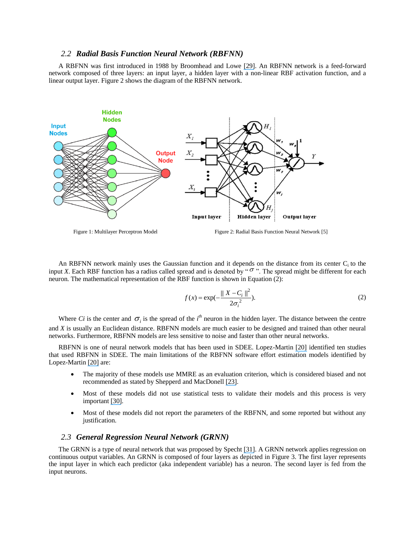#### *2.2 Radial Basis Function Neural Network (RBFNN)*

A RBFNN was first introduced in 1988 by Broomhead and Lowe [\[29\]](https://www.researchgate.net/publication/233784945_Multivariable_Functional_Interpolation_and_Adaptive_Networks?el=1_x_8&enrichId=rgreq-121515e73c0c79a875db36938266e4ff-XXX&enrichSource=Y292ZXJQYWdlOzI4NDI0MzIyMDtBUzoyOTg1NjAxMzU0MTc4NjdAMTQ0ODE5MzY5MTc3OA==). An RBFNN network is a feed-forward network composed of three layers: an input layer, a hidden layer with a non-linear RBF activation function, and a linear output layer. Figure 2 shows the diagram of the RBFNN network.



Figure 1: Multilayer Perceptron Model Figure 2: Radial Basis Function Neural Network [5]

An RBFNN network mainly uses the Gaussian function and it depends on the distance from its center  $C_i$  to the input *X*. Each RBF function has a radius called spread and is denoted by " $\sigma$ ". The spread might be different for each neuron. The mathematical representation of the RBF function is shown in Equation (2):

$$
f(x) = \exp(-\frac{\|X - C_i\|^2}{2\sigma_i^2}).
$$
 (2)

Where *Ci* is the center and  $\sigma_i$  is the spread of the *i*<sup>th</sup> neuron in the hidden layer. The distance between the centre and *X* is usually an Euclidean distance. RBFNN models are much easier to be designed and trained than other neural networks. Furthermore, RBFNN models are less sensitive to noise and faster than other neural networks.

RBFNN is one of neural network models that has been used in SDEE. Lopez-Martin [\[20\]](https://www.researchgate.net/publication/277576988_Predictive_accuracy_comparison_between_neural_networks_and_statistical_regression_for_development_effort_of_software_projects?el=1_x_8&enrichId=rgreq-121515e73c0c79a875db36938266e4ff-XXX&enrichSource=Y292ZXJQYWdlOzI4NDI0MzIyMDtBUzoyOTg1NjAxMzU0MTc4NjdAMTQ0ODE5MzY5MTc3OA==) identified ten studies that used RBFNN in SDEE. The main limitations of the RBFNN software effort estimation models identified by Lopez-Martin [\[20\]](https://www.researchgate.net/publication/277576988_Predictive_accuracy_comparison_between_neural_networks_and_statistical_regression_for_development_effort_of_software_projects?el=1_x_8&enrichId=rgreq-121515e73c0c79a875db36938266e4ff-XXX&enrichSource=Y292ZXJQYWdlOzI4NDI0MzIyMDtBUzoyOTg1NjAxMzU0MTc4NjdAMTQ0ODE5MzY5MTc3OA==) are:

- The majority of these models use MMRE as an evaluation criterion, which is considered biased and not recommended as stated by Shepperd and MacDonell [\[23\]](https://www.researchgate.net/publication/235948194_Evaluating_prediction_systems_in_software_project_estimation?el=1_x_8&enrichId=rgreq-121515e73c0c79a875db36938266e4ff-XXX&enrichSource=Y292ZXJQYWdlOzI4NDI0MzIyMDtBUzoyOTg1NjAxMzU0MTc4NjdAMTQ0ODE5MzY5MTc3OA==).
- Most of these models did not use statistical tests to validate their models and this process is very important [\[30\]](https://www.researchgate.net/publication/220851908_Why_comparative_effort_prediction_studies_may_be_invalid?el=1_x_8&enrichId=rgreq-121515e73c0c79a875db36938266e4ff-XXX&enrichSource=Y292ZXJQYWdlOzI4NDI0MzIyMDtBUzoyOTg1NjAxMzU0MTc4NjdAMTQ0ODE5MzY5MTc3OA==).
- Most of these models did not report the parameters of the RBFNN, and some reported but without any justification.

#### *2.3 General Regression Neural Network (GRNN)*

The GRNN is a type of neural network that was proposed by Specht [\[31\]](https://www.researchgate.net/publication/239731196_A_General_Regression_Neural_Network?el=1_x_8&enrichId=rgreq-121515e73c0c79a875db36938266e4ff-XXX&enrichSource=Y292ZXJQYWdlOzI4NDI0MzIyMDtBUzoyOTg1NjAxMzU0MTc4NjdAMTQ0ODE5MzY5MTc3OA==). A GRNN network applies regression on continuous output variables. An GRNN is composed of four layers as depicted in Figure 3. The first layer represents the input layer in which each predictor (aka independent variable) has a neuron. The second layer is fed from the input neurons.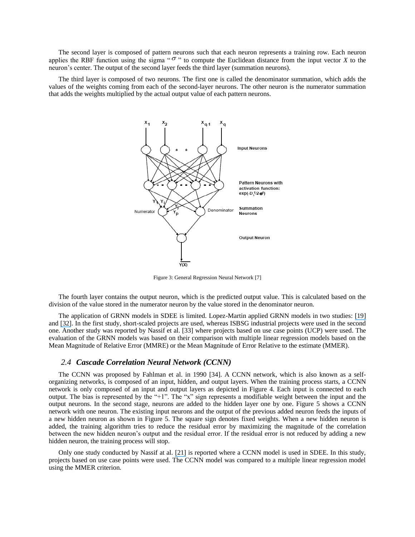The second layer is composed of pattern neurons such that each neuron represents a training row. Each neuron applies the RBF function using the sigma " $\sigma$ " to compute the Euclidean distance from the input vector *X* to the neuron's center. The output of the second layer feeds the third layer (summation neurons).

The third layer is composed of two neurons. The first one is called the denominator summation, which adds the values of the weights coming from each of the second-layer neurons. The other neuron is the numerator summation that adds the weights multiplied by the actual output value of each pattern neurons.



Figure 3: General Regression Neural Network [7]

The fourth layer contains the output neuron, which is the predicted output value. This is calculated based on the division of the value stored in the numerator neuron by the value stored in the denominator neuron.

The application of GRNN models in SDEE is limited. Lopez-Martin applied GRNN models in two studies: [\[19\]](https://www.researchgate.net/publication/220372156_Applying_a_general_regression_neural_network_for_predicting_development_effort_of_short-scale_programs?el=1_x_8&enrichId=rgreq-121515e73c0c79a875db36938266e4ff-XXX&enrichSource=Y292ZXJQYWdlOzI4NDI0MzIyMDtBUzoyOTg1NjAxMzU0MTc4NjdAMTQ0ODE5MzY5MTc3OA==) and [\[32\]](https://www.researchgate.net/publication/257559867_Software_development_effort_prediction_of_industrial_projects_applying_a_general_regression_neural_network?el=1_x_8&enrichId=rgreq-121515e73c0c79a875db36938266e4ff-XXX&enrichSource=Y292ZXJQYWdlOzI4NDI0MzIyMDtBUzoyOTg1NjAxMzU0MTc4NjdAMTQ0ODE5MzY5MTc3OA==). In the first study, short-scaled projects are used, whereas ISBSG industrial projects were used in the second one. Another study was reported by Nassif et al. [33] where projects based on use case points (UCP) were used. The evaluation of the GRNN models was based on their comparison with multiple linear regression models based on the Mean Magnitude of Relative Error (MMRE) or the Mean Magnitude of Error Relative to the estimate (MMER).

#### *2.4 Cascade Correlation Neural Network (CCNN)*

The CCNN was proposed by Fahlman et al. in 1990 [34]. A CCNN network, which is also known as a selforganizing networks, is composed of an input, hidden, and output layers. When the training process starts, a CCNN network is only composed of an input and output layers as depicted in Figure 4. Each input is connected to each output. The bias is represented by the "+1". The "x" sign represents a modifiable weight between the input and the output neurons. In the second stage, neurons are added to the hidden layer one by one. Figure 5 shows a CCNN network with one neuron. The existing input neurons and the output of the previous added neuron feeds the inputs of a new hidden neuron as shown in Figure 5. The square sign denotes fixed weights. When a new hidden neuron is added, the training algorithm tries to reduce the residual error by maximizing the magnitude of the correlation between the new hidden neuron's output and the residual error. If the residual error is not reduced by adding a new hidden neuron, the training process will stop.

Only one study conducted by Nassif at al. [\[21\]](https://www.researchgate.net/publication/233824016_Software_Effort_Estimation_in_the_Early_Stages_of_the_Software_Life_Cycle_Using_a_Cascade_Correlation_Neural_Network_Model?el=1_x_8&enrichId=rgreq-121515e73c0c79a875db36938266e4ff-XXX&enrichSource=Y292ZXJQYWdlOzI4NDI0MzIyMDtBUzoyOTg1NjAxMzU0MTc4NjdAMTQ0ODE5MzY5MTc3OA==) is reported where a CCNN model is used in SDEE. In this study, projects based on use case points were used. The CCNN model was compared to a multiple linear regression model using the MMER criterion.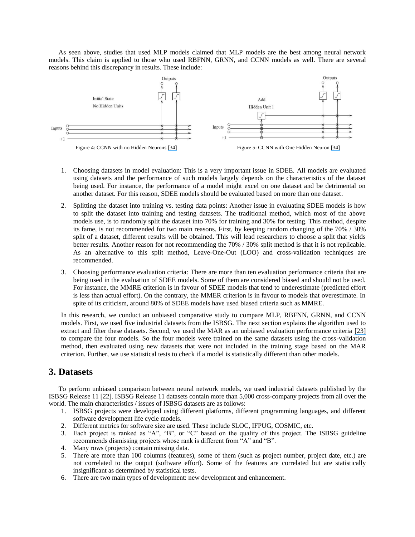As seen above, studies that used MLP models claimed that MLP models are the best among neural network models. This claim is applied to those who used RBFNN, GRNN, and CCNN models as well. There are several reasons behind this discrepancy in results. These include:



- 1. Choosing datasets in model evaluation: This is a very important issue in SDEE. All models are evaluated using datasets and the performance of such models largely depends on the characteristics of the dataset being used. For instance, the performance of a model might excel on one dataset and be detrimental on another dataset. For this reason, SDEE models should be evaluated based on more than one dataset.
- 2. Splitting the dataset into training vs. testing data points: Another issue in evaluating SDEE models is how to split the dataset into training and testing datasets. The traditional method, which most of the above models use, is to randomly split the dataset into 70% for training and 30% for testing. This method, despite its fame, is not recommended for two main reasons. First, by keeping random changing of the 70% / 30% split of a dataset, different results will be obtained. This will lead researchers to choose a split that yields better results. Another reason for not recommending the 70% / 30% split method is that it is not replicable. As an alternative to this split method, Leave-One-Out (LOO) and cross-validation techniques are recommended.
- 3. Choosing performance evaluation criteria*:* There are more than ten evaluation performance criteria that are being used in the evaluation of SDEE models. Some of them are considered biased and should not be used. For instance, the MMRE criterion is in favour of SDEE models that tend to underestimate (predicted effort is less than actual effort). On the contrary, the MMER criterion is in favour to models that overestimate. In spite of its criticism, around 80% of SDEE models have used biased criteria such as MMRE.

In this research, we conduct an unbiased comparative study to compare MLP, RBFNN, GRNN, and CCNN models. First, we used five industrial datasets from the ISBSG. The next section explains the algorithm used to extract and filter these datasets. Second, we used the MAR as an unbiased evaluation performance criteria [\[23\]](https://www.researchgate.net/publication/235948194_Evaluating_prediction_systems_in_software_project_estimation?el=1_x_8&enrichId=rgreq-121515e73c0c79a875db36938266e4ff-XXX&enrichSource=Y292ZXJQYWdlOzI4NDI0MzIyMDtBUzoyOTg1NjAxMzU0MTc4NjdAMTQ0ODE5MzY5MTc3OA==) to compare the four models. So the four models were trained on the same datasets using the cross-validation method, then evaluated using new datasets that were not included in the training stage based on the MAR criterion. Further, we use statistical tests to check if a model is statistically different than other models.

## **3. Datasets**

To perform unbiased comparison between neural network models, we used industrial datasets published by the ISBSG Release 11 [22]. ISBSG Release 11 datasets contain more than 5,000 cross-company projects from all over the world. The main characteristics / issues of ISBSG datasets are as follows:

- 1. ISBSG projects were developed using different platforms, different programming languages, and different software development life cycle models.
- 2. Different metrics for software size are used. These include SLOC, IFPUG, COSMIC, etc.
- 3. Each project is ranked as "A", "B", or "C" based on the quality of this project. The ISBSG guideline recommends dismissing projects whose rank is different from "A" and "B".
- 4. Many rows (projects) contain missing data.
- 5. There are more than 100 columns (features), some of them (such as project number, project date, etc.) are not correlated to the output (software effort). Some of the features are correlated but are statistically insignificant as determined by statistical tests.
- 6. There are two main types of development: new development and enhancement.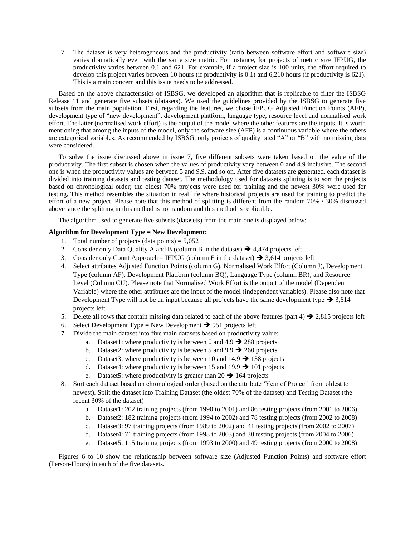7. The dataset is very heterogeneous and the productivity (ratio between software effort and software size) varies dramatically even with the same size metric. For instance, for projects of metric size IFPUG, the productivity varies between 0.1 and 621. For example, if a project size is 100 units, the effort required to develop this project varies between 10 hours (if productivity is 0.1) and 6,210 hours (if productivity is 621). This is a main concern and this issue needs to be addressed.

Based on the above characteristics of ISBSG, we developed an algorithm that is replicable to filter the ISBSG Release 11 and generate five subsets (datasets). We used the guidelines provided by the ISBSG to generate five subsets from the main population. First, regarding the features, we chose IFPUG Adjusted Function Points (AFP), development type of "new development", development platform, language type, resource level and normalised work effort. The latter (normalised work effort) is the output of the model where the other features are the inputs. It is worth mentioning that among the inputs of the model, only the software size (AFP) is a continuous variable where the others are categorical variables. As recommended by ISBSG, only projects of quality rated "A" or "B" with no missing data were considered.

To solve the issue discussed above in issue 7, five different subsets were taken based on the value of the productivity. The first subset is chosen when the values of productivity vary between 0 and 4.9 inclusive. The second one is when the productivity values are between 5 and 9.9, and so on. After five datasets are generated, each dataset is divided into training datasets and testing dataset. The methodology used for datasets splitting is to sort the projects based on chronological order; the oldest 70% projects were used for training and the newest 30% were used for testing. This method resembles the situation in real life where historical projects are used for training to predict the effort of a new project. Please note that this method of splitting is different from the random  $70\%$  /  $30\%$  discussed above since the splitting in this method is not random and this method is replicable.

The algorithm used to generate five subsets (datasets) from the main one is displayed below:

#### **Algorithm for Development Type = New Development:**

- 1. Total number of projects (data points)  $= 5,052$
- 2. Consider only Data Quality A and B (column B in the dataset)  $\rightarrow$  4,474 projects left
- 3. Consider only Count Approach = IFPUG (column E in the dataset)  $\rightarrow 3,614$  projects left
- 4. Select attributes Adjusted Function Points (column G), Normalised Work Effort (Column J), Development Type (column AF), Development Platform (column BQ), Language Type (column BR), and Resource Level (Column CU). Please note that Normalised Work Effort is the output of the model (Dependent Variable) where the other attributes are the input of the model (independent variables). Please also note that Development Type will not be an input because all projects have the same development type  $\rightarrow 3,614$ projects left
- 5. Delete all rows that contain missing data related to each of the above features (part 4)  $\rightarrow$  2,815 projects left
- 6. Select Development Type = New Development  $\rightarrow$  951 projects left
- 7. Divide the main dataset into five main datasets based on productivity value:
	- a. Dataset1: where productivity is between 0 and  $4.9 \rightarrow 288$  projects
	- b. Dataset2: where productivity is between 5 and  $9.9 \rightarrow 260$  projects
	- c. Dataset 3: where productivity is between 10 and 14.9  $\rightarrow$  138 projects
	- d. Dataset4: where productivity is between 15 and 19.9  $\rightarrow$  101 projects
	- e. Dataset5: where productivity is greater than  $20 \rightarrow 164$  projects
- 8. Sort each dataset based on chronological order (based on the attribute 'Year of Project' from oldest to newest). Split the dataset into Training Dataset (the oldest 70% of the dataset) and Testing Dataset (the recent 30% of the dataset)
	- a. Dataset1: 202 training projects (from 1990 to 2001) and 86 testing projects (from 2001 to 2006)
	- b. Dataset2: 182 training projects (from 1994 to 2002) and 78 testing projects (from 2002 to 2008)
	- c. Dataset3: 97 training projects (from 1989 to 2002) and 41 testing projects (from 2002 to 2007)
	- d. Dataset4: 71 training projects (from 1998 to 2003) and 30 testing projects (from 2004 to 2006)
	- e. Dataset5: 115 training projects (from 1993 to 2000) and 49 testing projects (from 2000 to 2008)

Figures 6 to 10 show the relationship between software size (Adjusted Function Points) and software effort (Person-Hours) in each of the five datasets.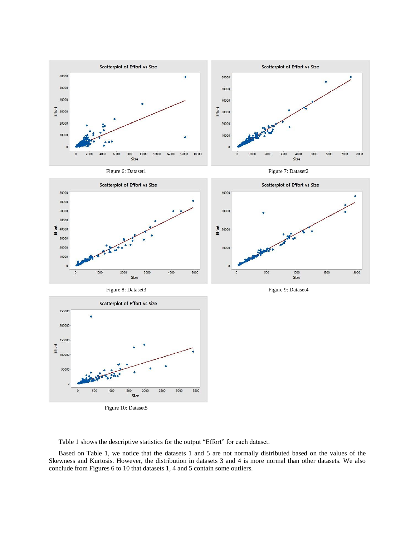

Figure 10: Dataset5

Table 1 shows the descriptive statistics for the output "Effort" for each dataset.

Based on Table 1, we notice that the datasets 1 and 5 are not normally distributed based on the values of the Skewness and Kurtosis. However, the distribution in datasets 3 and 4 is more normal than other datasets. We also conclude from Figures 6 to 10 that datasets 1, 4 and 5 contain some outliers.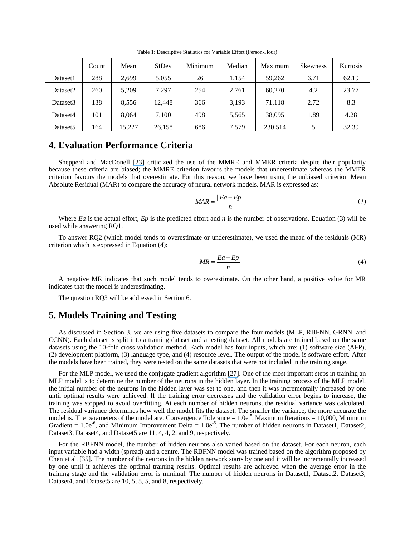|                      | Count | Mean   | <b>StDev</b> | Minimum | Median | Maximum | <b>Skewness</b> | Kurtosis |
|----------------------|-------|--------|--------------|---------|--------|---------|-----------------|----------|
| Dataset1             | 288   | 2,699  | 5,055        | 26      | 1.154  | 59,262  | 6.71            | 62.19    |
| Dataset2             | 260   | 5.209  | 7.297        | 254     | 2,761  | 60.270  | 4.2             | 23.77    |
| Dataset <sub>3</sub> | 138   | 8,556  | 12.448       | 366     | 3,193  | 71,118  | 2.72            | 8.3      |
| Dataset4             | 101   | 8.064  | 7,100        | 498     | 5,565  | 38,095  | 1.89            | 4.28     |
| Dataset <sub>5</sub> | 164   | 15.227 | 26,158       | 686     | 7.579  | 230,514 |                 | 32.39    |

Table 1: Descriptive Statistics for Variable Effort (Person-Hour)

## **4. Evaluation Performance Criteria**

Shepperd and MacDonell [\[23\]](https://www.researchgate.net/publication/235948194_Evaluating_prediction_systems_in_software_project_estimation?el=1_x_8&enrichId=rgreq-121515e73c0c79a875db36938266e4ff-XXX&enrichSource=Y292ZXJQYWdlOzI4NDI0MzIyMDtBUzoyOTg1NjAxMzU0MTc4NjdAMTQ0ODE5MzY5MTc3OA==) criticized the use of the MMRE and MMER criteria despite their popularity because these criteria are biased; the MMRE criterion favours the models that underestimate whereas the MMER criterion favours the models that overestimate. For this reason, we have been using the unbiased criterion Mean Absolute Residual (MAR) to compare the accuracy of neural network models. MAR is expressed as:

$$
MAR = \frac{|Ea - Ep|}{n}
$$
 (3)

Where *Ea* is the actual effort, *Ep* is the predicted effort and *n* is the number of observations. Equation (3) will be used while answering RQ1.

To answer RQ2 (which model tends to overestimate or underestimate), we used the mean of the residuals (MR) criterion which is expressed in Equation (4):

$$
MR = \frac{Ea - Ep}{n} \tag{4}
$$

A negative MR indicates that such model tends to overestimate. On the other hand, a positive value for MR indicates that the model is underestimating.

The question RQ3 will be addressed in Section 6.

#### **5. Models Training and Testing**

As discussed in Section 3, we are using five datasets to compare the four models (MLP, RBFNN, GRNN, and CCNN). Each dataset is split into a training dataset and a testing dataset. All models are trained based on the same datasets using the 10-fold cross validation method. Each model has four inputs, which are: (1) software size (AFP), (2) development platform, (3) language type, and (4) resource level. The output of the model is software effort. After the models have been trained, they were tested on the same datasets that were not included in the training stage.

For the MLP model, we used the conjugate gradient algorithm [\[27\]](https://www.researchgate.net/publication/222482794_Moller_MF_A_Scaled_Conjugate_Gradient_Algorithm_For_Fast_Supervised_Learning_Neural_Networks_6_525-533?el=1_x_8&enrichId=rgreq-121515e73c0c79a875db36938266e4ff-XXX&enrichSource=Y292ZXJQYWdlOzI4NDI0MzIyMDtBUzoyOTg1NjAxMzU0MTc4NjdAMTQ0ODE5MzY5MTc3OA==). One of the most important steps in training an MLP model is to determine the number of the neurons in the hidden layer. In the training process of the MLP model, the initial number of the neurons in the hidden layer was set to one, and then it was incrementally increased by one until optimal results were achieved. If the training error decreases and the validation error begins to increase, the training was stopped to avoid overfitting. At each number of hidden neurons, the residual variance was calculated. The residual variance determines how well the model fits the dataset. The smaller the variance, the more accurate the model is. The parameters of the model are: Convergence Tolerance =  $1.0e^{-5}$ , Maximum Iterations = 10,000, Minimum Gradient =  $1.\overline{0}e^{-6}$ , and Minimum Improvement Delta =  $1.0e^{-6}$ . The number of hidden neurons in Dataset1, Dataset2, Dataset3, Dataset4, and Dataset5 are 11, 4, 4, 2, and 9, respectively.

For the RBFNN model, the number of hidden neurons also varied based on the dataset. For each neuron, each input variable had a width (spread) and a centre. The RBFNN model was trained based on the algorithm proposed by Chen et al. [\[35\]](https://www.researchgate.net/publication/220776800_Orthogonal_Forward_Selection_for_Constructing_the_Radial_Basis_Function_Network_with_Tunable_Nodes?el=1_x_8&enrichId=rgreq-121515e73c0c79a875db36938266e4ff-XXX&enrichSource=Y292ZXJQYWdlOzI4NDI0MzIyMDtBUzoyOTg1NjAxMzU0MTc4NjdAMTQ0ODE5MzY5MTc3OA==). The number of the neurons in the hidden network starts by one and it will be incrementally increased by one until it achieves the optimal training results. Optimal results are achieved when the average error in the training stage and the validation error is minimal. The number of hidden neurons in Dataset1, Dataset2, Dataset3, Dataset4, and Dataset5 are 10, 5, 5, 5, and 8, respectively.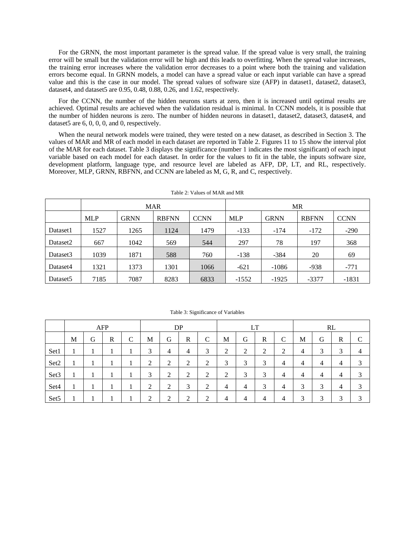For the GRNN, the most important parameter is the spread value. If the spread value is very small, the training error will be small but the validation error will be high and this leads to overfitting. When the spread value increases, the training error increases where the validation error decreases to a point where both the training and validation errors become equal. In GRNN models, a model can have a spread value or each input variable can have a spread value and this is the case in our model. The spread values of software size (AFP) in dataset1, dataset2, dataset3, dataset4, and dataset5 are 0.95, 0.48, 0.88, 0.26, and 1.62, respectively.

For the CCNN, the number of the hidden neurons starts at zero, then it is increased until optimal results are achieved. Optimal results are achieved when the validation residual is minimal. In CCNN models, it is possible that the number of hidden neurons is zero. The number of hidden neurons in dataset1, dataset2, dataset3, dataset4, and dataset5 are 6, 0, 0, 0, and 0, respectively.

When the neural network models were trained, they were tested on a new dataset, as described in Section 3. The values of MAR and MR of each model in each dataset are reported in Table 2. Figures 11 to 15 show the interval plot of the MAR for each dataset. Table 3 displays the significance (number 1 indicates the most significant) of each input variable based on each model for each dataset. In order for the values to fit in the table, the inputs software size, development platform, language type, and resource level are labeled as AFP, DP, LT, and RL, respectively. Moreover, MLP, GRNN, RBFNN, and CCNN are labeled as M, G, R, and C, respectively.

|                      |            |             | <b>MAR</b>   |             | <b>MR</b>  |             |              |             |  |
|----------------------|------------|-------------|--------------|-------------|------------|-------------|--------------|-------------|--|
|                      | <b>MLP</b> | <b>GRNN</b> | <b>RBFNN</b> | <b>CCNN</b> | <b>MLP</b> | <b>GRNN</b> | <b>RBFNN</b> | <b>CCNN</b> |  |
| Dataset1             | 1527       | 1265        | 1124         | 1479        | $-133$     | $-174$      | $-172$       | $-290$      |  |
| Dataset2             | 667        | 1042        | 569          | 544         | 297        | 78          | 197          | 368         |  |
| Dataset <sub>3</sub> | 1039       | 1871        | 588          | 760         | $-138$     | $-384$      | 20           | 69          |  |
| Dataset4             | 1321       | 1373        | 1301         | 1066        | $-621$     | $-1086$     | $-938$       | $-771$      |  |
| Dataset <sub>5</sub> | 7185       | 7087        | 8283         | 6833        | $-1552$    | $-1925$     | $-3377$      | $-1831$     |  |

Table 2: Values of MAR and MR

|                  | AFP |   |   | DP                      |        |        | LT     |        |        | RL     |        |                 |                        |   |        |              |
|------------------|-----|---|---|-------------------------|--------|--------|--------|--------|--------|--------|--------|-----------------|------------------------|---|--------|--------------|
|                  | M   | G | R | $\curvearrowright$<br>◡ | М      | G      | R      | C      | M      | G      | R      | $\sqrt{ }$<br>◡ | М                      | G | R      | $\mathsf{C}$ |
| Set1             |     |   |   |                         | 3      | 4      | 4      | 3      | ∍<br>∸ | ◠<br>∠ | ◠<br>∠ | ◠<br>∼          | 4                      | 3 | 2<br>J | 4            |
| Set2             |     |   |   |                         | ◠<br>∠ | ◠<br>∠ | ◠<br>∠ | ി<br>∠ | 3      | ⌒<br>3 | 3      | 4               | 4                      | 4 | 4      | 3            |
| Set <sub>3</sub> |     |   |   |                         | 3      | ∍<br>∠ | ◠<br>∠ | ∍<br>∠ | ∍<br>∠ | 3      | 3      | 4               | 4                      | 4 | 4      | 3            |
| Set <sub>4</sub> |     |   |   |                         | ◠<br>∠ | ◠<br>∠ | 3      | ∍<br>∠ | 4      | 4      | 3      | 4               | $\mathbf{\Omega}$<br>J | 3 | 4      | 3            |
| Set <sub>5</sub> |     |   |   |                         | ↑<br>∠ | ↑<br>∠ | ◠<br>∠ | ◠      | 4      | 4      | 4      | 4               | 3                      | 3 | ⌒<br>≺ | 3            |

Table 3: Significance of Variables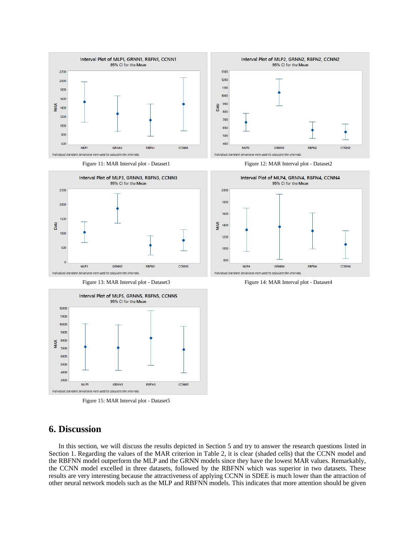

Figure 11: MAR Interval plot - Dataset1 Figure 12: MAR Interval plot - Dataset2





Figure 15: MAR Interval plot - Dataset5

## **6. Discussion**

In this section, we will discuss the results depicted in Section 5 and try to answer the research questions listed in Section 1. Regarding the values of the MAR criterion in Table 2, it is clear (shaded cells) that the CCNN model and the RBFNN model outperform the MLP and the GRNN models since they have the lowest MAR values. Remarkably, the CCNN model excelled in three datasets, followed by the RBFNN which was superior in two datasets. These results are very interesting because the attractiveness of applying CCNN in SDEE is much lower than the attraction of other neural network models such as the MLP and RBFNN models. This indicates that more attention should be given

RBFN2

**CCNN2** 



Figure 13: MAR Interval plot - Dataset3 Figure 14: MAR Interval plot - Dataset4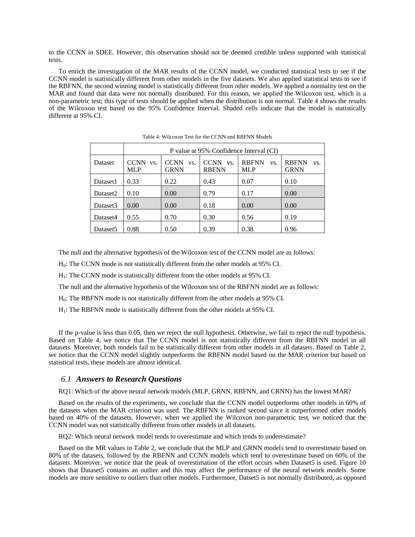to the CCNN in SDEE. However, this observation should not be deemed credible unless supported with statistical tests.

To enrich the investigation of the MAR results of the CCNN model, we conducted statistical tests to see if the CCNN model is statistically different from other models in the five datasets. We also applied statistical tests to see if the RBFNN, the second winning model is statistically different from other models. We applied a normality test on the MAR and found that data were not normally distributed. For this reason, we applied the Wilcoxon test, which is a non-parametric test; this type of tests should be applied when the distribution is not normal. Table 4 shows the results of the Wilcoxon test based on the 95% Confidence Interval. Shaded cells indicate that the model is statistically different at 95% CI.

|          | P value at 95% Confidence Interval (CI) |                                   |                                    |                                   |                                    |  |  |  |  |  |
|----------|-----------------------------------------|-----------------------------------|------------------------------------|-----------------------------------|------------------------------------|--|--|--|--|--|
| Dataset  | <b>CCNN</b><br>VS.<br><b>MLP</b>        | <b>CCNN</b><br>VS.<br><b>GRNN</b> | <b>CCNN</b><br>VS.<br><b>RBFNN</b> | <b>RBFNN</b><br>VS.<br><b>MLP</b> | <b>RBFNN</b><br>VS.<br><b>GRNN</b> |  |  |  |  |  |
| Dataset1 | 0.33                                    | 0.22                              | 0.43                               | 0.07                              | 0.10                               |  |  |  |  |  |
| Dataset2 | 0.10                                    | 0.00                              | 0.79                               | 0.17                              | 0.00                               |  |  |  |  |  |
| Dataset3 | 0.00                                    | 0.00                              | 0.18                               | 0.00                              | 0.00                               |  |  |  |  |  |
| Dataset4 | 0.55                                    | 0.70                              | 0.30                               | 0.56                              | 0.19                               |  |  |  |  |  |
| Dataset5 | 0.88                                    | 0.50                              | 0.39                               | 0.38                              | 0.96                               |  |  |  |  |  |

Table 4: Wilcoxon Test for the CCNN and RBFNN Models

The null and the alternative hypothesis of the Wilcoxon test of the CCNN model are as follows:

H0: The CCNN mode is not statistically different from the other models at 95% CI.

H1: The CCNN mode is statistically different from the other models at 95% CI.

The null and the alternative hypothesis of the Wilcoxon test of the RBFNN model are as follows:

H0: The RBFNN mode is not statistically different from the other models at 95% CI.

H<sub>1</sub>: The RBFNN mode is statistically different from the other models at 95% CI.

If the p-value is less than 0.05, then we reject the null hypothesis. Otherwise, we fail to reject the null hypothesis. Based on Table 4, we notice that The CCNN model is not statistically different from the RBFNN model in all datasets. Moreover, both models fail to be statistically different from other models in all datasets. Based on Table 2, we notice that the CCNN model slightly outperforms the RBFNN model based on the MAR criterion but based on statistical tests, these models are almost identical.

#### *6.1 Answers to Research Questions*

RQ1: Which of the above neural network models (MLP, GRNN, RBFNN, and CRNN) has the lowest MAR?

Based on the results of the experiments, we conclude that the CCNN model outperforms other models in 60% of the datasets when the MAR criterion was used. The RBFNN is ranked second since it outperformed other models based on 40% of the datasets. However, when we applied the Wilcoxon non-parametric test, we noticed that the CCNN model was not statistically different from other models in all datasets.

RQ2: Which neural network model tends to overestimate and which tends to underestimate?

Based on the MR values in Table 2, we conclude that the MLP and GRNN models tend to overestimate based on 80% of the datasets, followed by the RBFNN and CCNN models which tend to overestimate based on 60% of the datasets. Moreover, we notice that the peak of overestimation of the effort occurs when Dataset5 is used. Figure 10 shows that Dataset5 contains an outlier and this may affect the performance of the neural network models. Some models are more sensitive to outliers than other models. Furthermore, Datset5 is not normally distributed, as opposed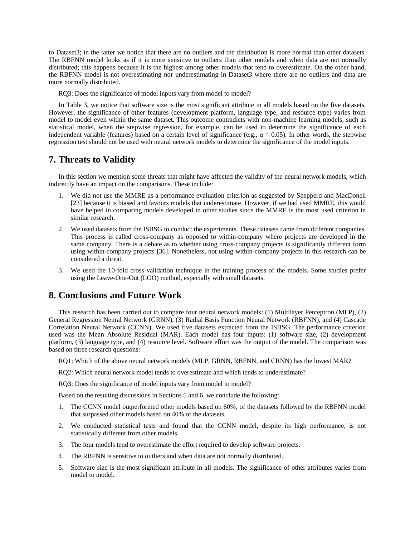to Dataset3; in the latter we notice that there are no outliers and the distribution is more normal than other datasets. The RBFNN model looks as if it is more sensitive to outliers than other models and when data are not normally distributed; this happens because it is the highest among other models that tend to overestimate. On the other hand, the RBFNN model is not overestimating nor underestimating in Dataset3 where there are no outliers and data are more normally distributed.

RQ3: Does the significance of model inputs vary from model to model?

In Table 3, we notice that software size is the most significant attribute in all models based on the five datasets. However, the significance of other features (development platform, language type, and resource type) varies from model to model even within the same dataset. This outcome contradicts with non-machine learning models, such as statistical model, when the stepwise regression, for example, can be used to determine the significance of each independent variable (features) based on a certain level of significance (e.g.,  $\alpha = 0.05$ ). In other words, the stepwise regression test should not be used with neural network models to determine the significance of the model inputs.

## **7. Threats to Validity**

In this section we mention some threats that might have affected the validity of the neural network models, which indirectly have an impact on the comparisons. These include:

- 1. We did not use the MMRE as a performance evaluation criterion as suggested by Shepperd and MacDonell [23] because it is biased and favours models that underestimate. However, if we had used MMRE, this would have helped in comparing models developed in other studies since the MMRE is the most used criterion in similar research.
- 2. We used datasets from the ISBSG to conduct the experiments. These datasets came from different companies. This process is called cross-company as opposed to within-company where projects are developed in the same company. There is a debate as to whether using cross-company projects is significantly different form using within-company projects [36]. Nonetheless, not using within-company projects in this research can be considered a threat.
- 3. We used the 10-fold cross validation technique in the training process of the models. Some studies prefer using the Leave-One-Out (LOO) method, especially with small datasets.

## **8. Conclusions and Future Work**

This research has been carried out to compare four neural network models: (1) Multilayer Perceptron (MLP), (2) General Regression Neural Network (GRNN), (3) Radial Basis Function Neural Network (RBFNN), and (4) Cascade Correlation Neural Network (CCNN). We used five datasets extracted from the ISBSG. The performance criterion used was the Mean Absolute Residual (MAR). Each model has four inputs: (1) software size, (2) development platform, (3) language type, and (4) resource level. Software effort was the output of the model. The comparison was based on three research questions:

RQ1: Which of the above neural network models (MLP, GRNN, RBFNN, and CRNN) has the lowest MAR?

RQ2: Which neural network model tends to overestimate and which tends to underestimate?

RQ3: Does the significance of model inputs vary from model to model?

Based on the resulting discussions in Sections 5 and 6, we conclude the following:

- 1. The CCNN model outperformed other models based on 60%, of the datasets followed by the RBFNN model that surpassed other models based on 40% of the datasets.
- 2. We conducted statistical tests and found that the CCNN model, despite its high performance, is not statistically different from other models.
- 3. The four models tend to overestimate the effort required to develop software projects.
- 4. The RBFNN is sensitive to outliers and when data are not normally distributed.
- 5. Software size is the most significant attribute in all models. The significance of other attributes varies from model to model.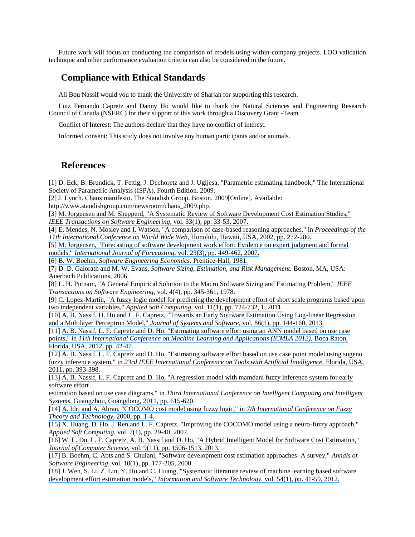Future work will focus on conducting the comparison of models using within-company projects. LOO validation technique and other performance evaluation criteria can also be considered in the future.

## **Compliance with Ethical Standards**

Ali Bou Nassif would you to thank the University of Sharjah for supporting this research.

Luiz Fernando Capretz and Danny Ho would like to thank the Natural Sciences and Engineering Research Council of Canada (NSERC) for their support of this work through a Discovery Grant -Team.

Conflict of Interest: The authors declare that they have no conflict of interest.

Informed consent: This study does not involve any human participants and/or animals.

## **References**

[1] D. Eck, B. Brundick, T. Fettig, J. Dechoretz and J. Ugljesa, "Parametric estimating handbook," The International Society of Parametric Analysis (ISPA), Fourth Edition. 2009.

[2] J. Lynch. Chaos manifesto. The Standish Group. Boston. 2009[Online]. Available:

http://www.standishgroup.com/newsroom/chaos\_2009.php.

[3] [M. Jorgensen and M. Shepperd, "A Systematic Review of Software Development Cost Estimation Studies,"](https://www.researchgate.net/publication/3189714_A_Systematic_Review_Of_Software_Development_Cost_Estimation_Studies?el=1_x_8&enrichId=rgreq-121515e73c0c79a875db36938266e4ff-XXX&enrichSource=Y292ZXJQYWdlOzI4NDI0MzIyMDtBUzoyOTg1NjAxMzU0MTc4NjdAMTQ0ODE5MzY5MTc3OA==) *[IEEE Transactions on Software Engineering,](https://www.researchgate.net/publication/3189714_A_Systematic_Review_Of_Software_Development_Cost_Estimation_Studies?el=1_x_8&enrichId=rgreq-121515e73c0c79a875db36938266e4ff-XXX&enrichSource=Y292ZXJQYWdlOzI4NDI0MzIyMDtBUzoyOTg1NjAxMzU0MTc4NjdAMTQ0ODE5MzY5MTc3OA==)* vol. 33(1), pp. 33-53, 2007.

[4] [E. Mendes, N. Mosley and I. Watson, "A comparison of case-based reasoning approaches," in](https://www.researchgate.net/publication/221024116_A_comparison_of_case-based_reasoning_approaches?el=1_x_8&enrichId=rgreq-121515e73c0c79a875db36938266e4ff-XXX&enrichSource=Y292ZXJQYWdlOzI4NDI0MzIyMDtBUzoyOTg1NjAxMzU0MTc4NjdAMTQ0ODE5MzY5MTc3OA==) *Proceedings of the [11th International Conference on World Wide Web,](https://www.researchgate.net/publication/221024116_A_comparison_of_case-based_reasoning_approaches?el=1_x_8&enrichId=rgreq-121515e73c0c79a875db36938266e4ff-XXX&enrichSource=Y292ZXJQYWdlOzI4NDI0MzIyMDtBUzoyOTg1NjAxMzU0MTc4NjdAMTQ0ODE5MzY5MTc3OA==)* Honolulu, Hawaii, USA, 2002, pp. 272-280.

[5] [M. Jørgensen, "Forecasting of software development work effort: Evidence on expert judgment](https://www.researchgate.net/publication/222516376_Forecasting_of_software_development_work_effort_Evidence_on_expert_judgement_and_formal_models?el=1_x_8&enrichId=rgreq-121515e73c0c79a875db36938266e4ff-XXX&enrichSource=Y292ZXJQYWdlOzI4NDI0MzIyMDtBUzoyOTg1NjAxMzU0MTc4NjdAMTQ0ODE5MzY5MTc3OA==) and formal models," *[International Journal of Forecasting,](https://www.researchgate.net/publication/222516376_Forecasting_of_software_development_work_effort_Evidence_on_expert_judgement_and_formal_models?el=1_x_8&enrichId=rgreq-121515e73c0c79a875db36938266e4ff-XXX&enrichSource=Y292ZXJQYWdlOzI4NDI0MzIyMDtBUzoyOTg1NjAxMzU0MTc4NjdAMTQ0ODE5MzY5MTc3OA==)* vol. 23(3), pp. 449-462, 2007.

[6] B. W. Boehm, *[Software Engineering Economics.](https://www.researchgate.net/publication/284543783_Software_Engineering_Economics?el=1_x_8&enrichId=rgreq-121515e73c0c79a875db36938266e4ff-XXX&enrichSource=Y292ZXJQYWdlOzI4NDI0MzIyMDtBUzoyOTg1NjAxMzU0MTc4NjdAMTQ0ODE5MzY5MTc3OA==)* Prentice-Hall, 1981.

[7] D. D. Galorath and M. W. Evans, *Software Sizing, Estimation, and Risk Management.* Boston, MA, USA: Auerbach Publications, 2006.

[8] L. H. Putnam, "A General Empirical Solution to the Macro Software Sizing and Estimating Problem," *IEEE Transactions on Software Engineering,* vol. 4(4), pp. 345-361, 1978.

[9] [C. Lopez-Martin, "A fuzzy logic model for predicting the development effort of short scale programs based upon](https://www.researchgate.net/publication/220199190_A_fuzzy_logic_model_for_predicting_the_development_effort_of_short_scale_programs_based_upon_two_independent_variables?el=1_x_8&enrichId=rgreq-121515e73c0c79a875db36938266e4ff-XXX&enrichSource=Y292ZXJQYWdlOzI4NDI0MzIyMDtBUzoyOTg1NjAxMzU0MTc4NjdAMTQ0ODE5MzY5MTc3OA==) [two independent variables,"](https://www.researchgate.net/publication/220199190_A_fuzzy_logic_model_for_predicting_the_development_effort_of_short_scale_programs_based_upon_two_independent_variables?el=1_x_8&enrichId=rgreq-121515e73c0c79a875db36938266e4ff-XXX&enrichSource=Y292ZXJQYWdlOzI4NDI0MzIyMDtBUzoyOTg1NjAxMzU0MTc4NjdAMTQ0ODE5MzY5MTc3OA==) *Applied Soft Computing,* vol. 11(1), pp. 724-732, 1, 2011.

[10] [A. B. Nassif, D. Ho and L. F. Capretz, "Towards an Early Software Estimation Using Log-linear Regression](https://www.researchgate.net/publication/233823984_Towards_an_early_software_estimation_using_log-linear_regression_and_a_multilayer_perceptron_model?el=1_x_8&enrichId=rgreq-121515e73c0c79a875db36938266e4ff-XXX&enrichSource=Y292ZXJQYWdlOzI4NDI0MzIyMDtBUzoyOTg1NjAxMzU0MTc4NjdAMTQ0ODE5MzY5MTc3OA==)  [and a Multilayer Perceptron Model,"](https://www.researchgate.net/publication/233823984_Towards_an_early_software_estimation_using_log-linear_regression_and_a_multilayer_perceptron_model?el=1_x_8&enrichId=rgreq-121515e73c0c79a875db36938266e4ff-XXX&enrichSource=Y292ZXJQYWdlOzI4NDI0MzIyMDtBUzoyOTg1NjAxMzU0MTc4NjdAMTQ0ODE5MzY5MTc3OA==) *Journal of Systems and Software,* vol. 86(1), pp. 144-160, 2013.

[11] [A. B. Nassif, L. F. Capretz and D. Ho, "Estimating software effort using an ANN model based on use case](https://www.researchgate.net/publication/234117276_Estimating_Software_Effort_Using_an_ANN_Model_Based_on_Use_Case_Points?el=1_x_8&enrichId=rgreq-121515e73c0c79a875db36938266e4ff-XXX&enrichSource=Y292ZXJQYWdlOzI4NDI0MzIyMDtBUzoyOTg1NjAxMzU0MTc4NjdAMTQ0ODE5MzY5MTc3OA==)  points," in *11th International Conference on Machine Learning and Applications (ICMLA 2012)*, Boca Raton, [Florida, USA, 2012, pp. 42-47.](https://www.researchgate.net/publication/234117276_Estimating_Software_Effort_Using_an_ANN_Model_Based_on_Use_Case_Points?el=1_x_8&enrichId=rgreq-121515e73c0c79a875db36938266e4ff-XXX&enrichSource=Y292ZXJQYWdlOzI4NDI0MzIyMDtBUzoyOTg1NjAxMzU0MTc4NjdAMTQ0ODE5MzY5MTc3OA==) 

[12] [A. B. Nassif, L. F. Capretz and D. Ho, "Estimating software effort based on use case point model using sugeno](https://www.researchgate.net/publication/221417349_Estimating_Software_Effort_Based_on_Use_Case_Point_Model_Using_Sugeno_Fuzzy_Inference_System?el=1_x_8&enrichId=rgreq-121515e73c0c79a875db36938266e4ff-XXX&enrichSource=Y292ZXJQYWdlOzI4NDI0MzIyMDtBUzoyOTg1NjAxMzU0MTc4NjdAMTQ0ODE5MzY5MTc3OA==)  fuzzy inference system," in [23rd IEEE International Conference on Tools with Artificial Intelligence,](https://www.researchgate.net/publication/221417349_Estimating_Software_Effort_Based_on_Use_Case_Point_Model_Using_Sugeno_Fuzzy_Inference_System?el=1_x_8&enrichId=rgreq-121515e73c0c79a875db36938266e4ff-XXX&enrichSource=Y292ZXJQYWdlOzI4NDI0MzIyMDtBUzoyOTg1NjAxMzU0MTc4NjdAMTQ0ODE5MzY5MTc3OA==) Florida, USA, [2011, pp. 393-398.](https://www.researchgate.net/publication/221417349_Estimating_Software_Effort_Based_on_Use_Case_Point_Model_Using_Sugeno_Fuzzy_Inference_System?el=1_x_8&enrichId=rgreq-121515e73c0c79a875db36938266e4ff-XXX&enrichSource=Y292ZXJQYWdlOzI4NDI0MzIyMDtBUzoyOTg1NjAxMzU0MTc4NjdAMTQ0ODE5MzY5MTc3OA==) 

[13] [A. B. Nassif, L. F. Capretz and D. Ho, "A regression model with mamdani fuzzy inference system for early](https://www.researchgate.net/publication/233824054_A_Regression_Model_with_Mamdani_Fuzzy_Inference_System_for_Early_Software_Effort_Estimation_Based_on_Use_Case_Diagrams?el=1_x_8&enrichId=rgreq-121515e73c0c79a875db36938266e4ff-XXX&enrichSource=Y292ZXJQYWdlOzI4NDI0MzIyMDtBUzoyOTg1NjAxMzU0MTc4NjdAMTQ0ODE5MzY5MTc3OA==)  [software effort](https://www.researchgate.net/publication/233824054_A_Regression_Model_with_Mamdani_Fuzzy_Inference_System_for_Early_Software_Effort_Estimation_Based_on_Use_Case_Diagrams?el=1_x_8&enrichId=rgreq-121515e73c0c79a875db36938266e4ff-XXX&enrichSource=Y292ZXJQYWdlOzI4NDI0MzIyMDtBUzoyOTg1NjAxMzU0MTc4NjdAMTQ0ODE5MzY5MTc3OA==)

estimation based on use case diagrams," in *[Third International Conference on Intelligent Computing and Intelligent](https://www.researchgate.net/publication/233824054_A_Regression_Model_with_Mamdani_Fuzzy_Inference_System_for_Early_Software_Effort_Estimation_Based_on_Use_Case_Diagrams?el=1_x_8&enrichId=rgreq-121515e73c0c79a875db36938266e4ff-XXX&enrichSource=Y292ZXJQYWdlOzI4NDI0MzIyMDtBUzoyOTg1NjAxMzU0MTc4NjdAMTQ0ODE5MzY5MTc3OA==)  Systems,* [Guangzhou, Guangdong, 2011, pp. 615-620.](https://www.researchgate.net/publication/233824054_A_Regression_Model_with_Mamdani_Fuzzy_Inference_System_for_Early_Software_Effort_Estimation_Based_on_Use_Case_Diagrams?el=1_x_8&enrichId=rgreq-121515e73c0c79a875db36938266e4ff-XXX&enrichSource=Y292ZXJQYWdlOzI4NDI0MzIyMDtBUzoyOTg1NjAxMzU0MTc4NjdAMTQ0ODE5MzY5MTc3OA==)

[14] [A. Idri and A. Abran, "COCOMO cost model using fuzzy logic," in](https://www.researchgate.net/publication/286742360_Cocomo_Cost_Model_Using_Fuzzy_Logic?el=1_x_8&enrichId=rgreq-121515e73c0c79a875db36938266e4ff-XXX&enrichSource=Y292ZXJQYWdlOzI4NDI0MzIyMDtBUzoyOTg1NjAxMzU0MTc4NjdAMTQ0ODE5MzY5MTc3OA==) *7th International Conference on Fuzzy [Theory and Technology,](https://www.researchgate.net/publication/286742360_Cocomo_Cost_Model_Using_Fuzzy_Logic?el=1_x_8&enrichId=rgreq-121515e73c0c79a875db36938266e4ff-XXX&enrichSource=Y292ZXJQYWdlOzI4NDI0MzIyMDtBUzoyOTg1NjAxMzU0MTc4NjdAMTQ0ODE5MzY5MTc3OA==)* 2000, pp. 1-4.

[15] [X. Huang, D. Ho, J. Ren and L. F. Capretz, "Improving the COCOMO model using a neuro-fuzzy approach,"](https://www.researchgate.net/publication/222542054_Improving_the_COCOMO_model_using_a_neuro-fuzzy_approach?el=1_x_8&enrichId=rgreq-121515e73c0c79a875db36938266e4ff-XXX&enrichSource=Y292ZXJQYWdlOzI4NDI0MzIyMDtBUzoyOTg1NjAxMzU0MTc4NjdAMTQ0ODE5MzY5MTc3OA==) *Applied Soft Computing,* [vol. 7\(1\), pp. 29-40, 2007.](https://www.researchgate.net/publication/222542054_Improving_the_COCOMO_model_using_a_neuro-fuzzy_approach?el=1_x_8&enrichId=rgreq-121515e73c0c79a875db36938266e4ff-XXX&enrichSource=Y292ZXJQYWdlOzI4NDI0MzIyMDtBUzoyOTg1NjAxMzU0MTc4NjdAMTQ0ODE5MzY5MTc3OA==)

[16] [W. L. Du, L. F. Capretz, A. B. Nassif and D. Ho, "A Hybrid Intelligent Model for Software Cost Estimation,"](https://www.researchgate.net/publication/259759853_A_Hybrid_Intelligent_Model_for_Software_Cost_Estimation?el=1_x_8&enrichId=rgreq-121515e73c0c79a875db36938266e4ff-XXX&enrichSource=Y292ZXJQYWdlOzI4NDI0MzIyMDtBUzoyOTg1NjAxMzU0MTc4NjdAMTQ0ODE5MzY5MTc3OA==)  *Journal of Computer Science,* [vol. 9\(11\), pp. 1506-1513, 2013.](https://www.researchgate.net/publication/259759853_A_Hybrid_Intelligent_Model_for_Software_Cost_Estimation?el=1_x_8&enrichId=rgreq-121515e73c0c79a875db36938266e4ff-XXX&enrichSource=Y292ZXJQYWdlOzI4NDI0MzIyMDtBUzoyOTg1NjAxMzU0MTc4NjdAMTQ0ODE5MzY5MTc3OA==)

[17] [B. Boehm, C. Abts and S. Chulani, "Software development cost estimation approaches: A survey,"](https://www.researchgate.net/publication/220300696_Software_development_cost_estimation_approaches_-_A_survey?el=1_x_8&enrichId=rgreq-121515e73c0c79a875db36938266e4ff-XXX&enrichSource=Y292ZXJQYWdlOzI4NDI0MzIyMDtBUzoyOTg1NjAxMzU0MTc4NjdAMTQ0ODE5MzY5MTc3OA==) *Annals of Software Engineering,* [vol. 10\(1\), pp. 177-205, 2000.](https://www.researchgate.net/publication/220300696_Software_development_cost_estimation_approaches_-_A_survey?el=1_x_8&enrichId=rgreq-121515e73c0c79a875db36938266e4ff-XXX&enrichSource=Y292ZXJQYWdlOzI4NDI0MzIyMDtBUzoyOTg1NjAxMzU0MTc4NjdAMTQ0ODE5MzY5MTc3OA==) 

[18] [J. Wen, S. Li, Z. Lin, Y. Hu and C. Huang, "Systematic literature review of machine learning based software](https://www.researchgate.net/publication/220609785_Systematic_literature_review_of_machine_learning_based_software_development_effort_estimation_models?el=1_x_8&enrichId=rgreq-121515e73c0c79a875db36938266e4ff-XXX&enrichSource=Y292ZXJQYWdlOzI4NDI0MzIyMDtBUzoyOTg1NjAxMzU0MTc4NjdAMTQ0ODE5MzY5MTc3OA==)  [development effort estimation models,"](https://www.researchgate.net/publication/220609785_Systematic_literature_review_of_machine_learning_based_software_development_effort_estimation_models?el=1_x_8&enrichId=rgreq-121515e73c0c79a875db36938266e4ff-XXX&enrichSource=Y292ZXJQYWdlOzI4NDI0MzIyMDtBUzoyOTg1NjAxMzU0MTc4NjdAMTQ0ODE5MzY5MTc3OA==) *Information and Software Technology,* vol. 54(1), pp. 41-59, 2012.